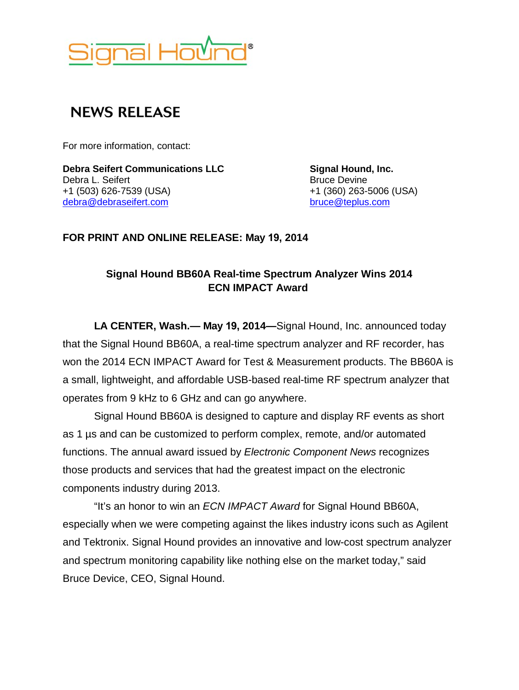

## **NEWS RELEASE**

For more information, contact:

**Debra Seifert Communications LLC Signal Hound, Inc.**<br>
Debra L. Seifert **Secure Late Communications LLC S S B**ruce Devine **S B** Debra L. Seifert +1 (503) 626-7539 (USA) +1 (360) 263-5006 (USA) [debra@debraseifert.com](mailto:debra@debraseifert.com)

**FOR PRINT AND ONLINE RELEASE: May 19, 2014** 

## **Signal Hound BB60A Real-time Spectrum Analyzer Wins 2014 ECN IMPACT Award**

**LA CENTER, Wash.— May 19, 2014—**Signal Hound, Inc. announced today that the Signal Hound BB60A, a real-time spectrum analyzer and RF recorder, has won the 2014 ECN IMPACT Award for Test & Measurement products. The BB60A is a small, lightweight, and affordable USB-based real-time RF spectrum analyzer that operates from 9 kHz to 6 GHz and can go anywhere.

Signal Hound BB60A is designed to capture and display RF events as short as 1 µs and can be customized to perform complex, remote, and/or automated functions. The annual award issued by *Electronic Component News* recognizes those products and services that had the greatest impact on the electronic components industry during 2013.

"It's an honor to win an *ECN IMPACT Award* for Signal Hound BB60A, especially when we were competing against the likes industry icons such as Agilent and Tektronix. Signal Hound provides an innovative and low-cost spectrum analyzer and spectrum monitoring capability like nothing else on the market today," said Bruce Device, CEO, Signal Hound.